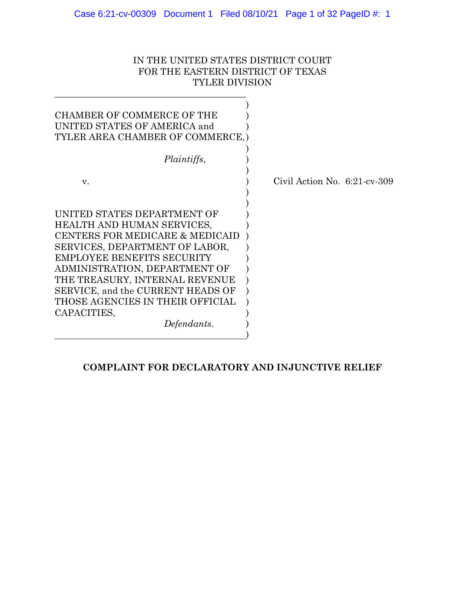# IN THE UNITED STATES DISTRICT COURT FOR THE EASTERN DISTRICT OF TEXAS TYLER DIVISION

\_\_\_\_\_\_\_\_\_\_\_\_\_\_\_\_\_\_\_\_\_\_\_\_\_\_\_\_\_\_\_\_\_\_\_\_\_\_\_\_\_\_

| <b>CHAMBER OF COMMERCE OF THE</b><br>UNITED STATES OF AMERICA and<br>TYLER AREA CHAMBER OF COMMERCE, )                                                                                                                                                                                                                                 |                                 |
|----------------------------------------------------------------------------------------------------------------------------------------------------------------------------------------------------------------------------------------------------------------------------------------------------------------------------------------|---------------------------------|
| <i>Plaintiffs,</i>                                                                                                                                                                                                                                                                                                                     |                                 |
| V.                                                                                                                                                                                                                                                                                                                                     | Civil Action No. $6:21$ -cv-309 |
| UNITED STATES DEPARTMENT OF<br>HEALTH AND HUMAN SERVICES,<br>CENTERS FOR MEDICARE & MEDICAID<br>SERVICES, DEPARTMENT OF LABOR,<br>EMPLOYEE BENEFITS SECURITY<br>ADMINISTRATION, DEPARTMENT OF<br>THE TREASURY, INTERNAL REVENUE<br>SERVICE, and the CURRENT HEADS OF<br>THOSE AGENCIES IN THEIR OFFICIAL<br>CAPACITIES,<br>Defendants. |                                 |

# **COMPLAINT FOR DECLARATORY AND INJUNCTIVE RELIEF**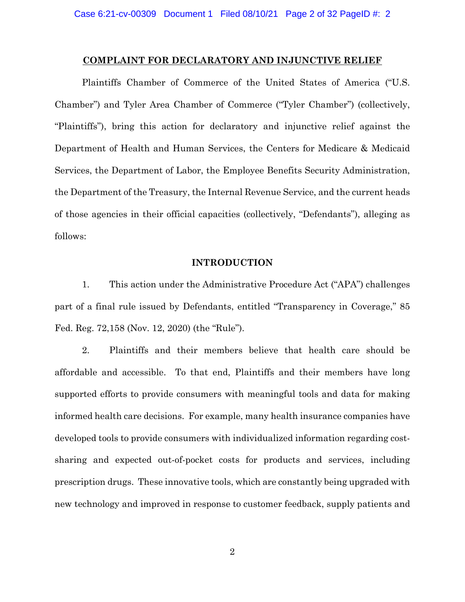### **COMPLAINT FOR DECLARATORY AND INJUNCTIVE RELIEF**

Plaintiffs Chamber of Commerce of the United States of America ("U.S. Chamber") and Tyler Area Chamber of Commerce ("Tyler Chamber") (collectively, "Plaintiffs"), bring this action for declaratory and injunctive relief against the Department of Health and Human Services, the Centers for Medicare & Medicaid Services, the Department of Labor, the Employee Benefits Security Administration, the Department of the Treasury, the Internal Revenue Service, and the current heads of those agencies in their official capacities (collectively, "Defendants"), alleging as follows:

## **INTRODUCTION**

1. This action under the Administrative Procedure Act ("APA") challenges part of a final rule issued by Defendants, entitled "Transparency in Coverage," 85 Fed. Reg. 72,158 (Nov. 12, 2020) (the "Rule").

2. Plaintiffs and their members believe that health care should be affordable and accessible. To that end, Plaintiffs and their members have long supported efforts to provide consumers with meaningful tools and data for making informed health care decisions. For example, many health insurance companies have developed tools to provide consumers with individualized information regarding costsharing and expected out-of-pocket costs for products and services, including prescription drugs. These innovative tools, which are constantly being upgraded with new technology and improved in response to customer feedback, supply patients and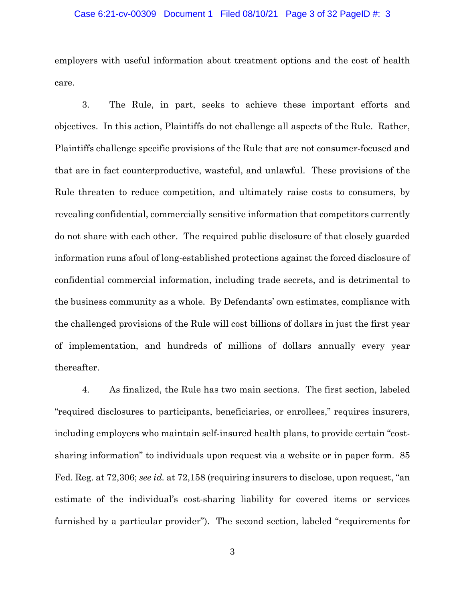### Case 6:21-cv-00309 Document 1 Filed 08/10/21 Page 3 of 32 PageID #: 3

employers with useful information about treatment options and the cost of health care.

3. The Rule, in part, seeks to achieve these important efforts and objectives. In this action, Plaintiffs do not challenge all aspects of the Rule. Rather, Plaintiffs challenge specific provisions of the Rule that are not consumer-focused and that are in fact counterproductive, wasteful, and unlawful. These provisions of the Rule threaten to reduce competition, and ultimately raise costs to consumers, by revealing confidential, commercially sensitive information that competitors currently do not share with each other. The required public disclosure of that closely guarded information runs afoul of long-established protections against the forced disclosure of confidential commercial information, including trade secrets, and is detrimental to the business community as a whole. By Defendants' own estimates, compliance with the challenged provisions of the Rule will cost billions of dollars in just the first year of implementation, and hundreds of millions of dollars annually every year thereafter.

4. As finalized, the Rule has two main sections. The first section, labeled "required disclosures to participants, beneficiaries, or enrollees," requires insurers, including employers who maintain self-insured health plans, to provide certain "costsharing information" to individuals upon request via a website or in paper form. 85 Fed. Reg. at 72,306; *see id.* at 72,158 (requiring insurers to disclose, upon request, "an estimate of the individual's cost-sharing liability for covered items or services furnished by a particular provider"). The second section, labeled "requirements for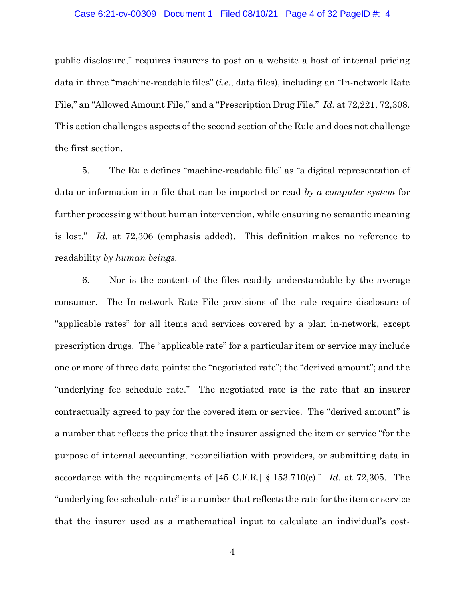## Case 6:21-cv-00309 Document 1 Filed 08/10/21 Page 4 of 32 PageID #: 4

public disclosure," requires insurers to post on a website a host of internal pricing data in three "machine-readable files" (*i.e*., data files), including an "In-network Rate File," an "Allowed Amount File," and a "Prescription Drug File." *Id.* at 72,221, 72,308. This action challenges aspects of the second section of the Rule and does not challenge the first section.

5. The Rule defines "machine-readable file" as "a digital representation of data or information in a file that can be imported or read *by a computer system* for further processing without human intervention, while ensuring no semantic meaning is lost." *Id.* at 72,306 (emphasis added). This definition makes no reference to readability *by human beings*.

6. Nor is the content of the files readily understandable by the average consumer. The In-network Rate File provisions of the rule require disclosure of "applicable rates" for all items and services covered by a plan in-network, except prescription drugs. The "applicable rate" for a particular item or service may include one or more of three data points: the "negotiated rate"; the "derived amount"; and the "underlying fee schedule rate." The negotiated rate is the rate that an insurer contractually agreed to pay for the covered item or service. The "derived amount" is a number that reflects the price that the insurer assigned the item or service "for the purpose of internal accounting, reconciliation with providers, or submitting data in accordance with the requirements of [45 C.F.R.] § 153.710(c)." *Id.* at 72,305. The "underlying fee schedule rate" is a number that reflects the rate for the item or service that the insurer used as a mathematical input to calculate an individual's cost-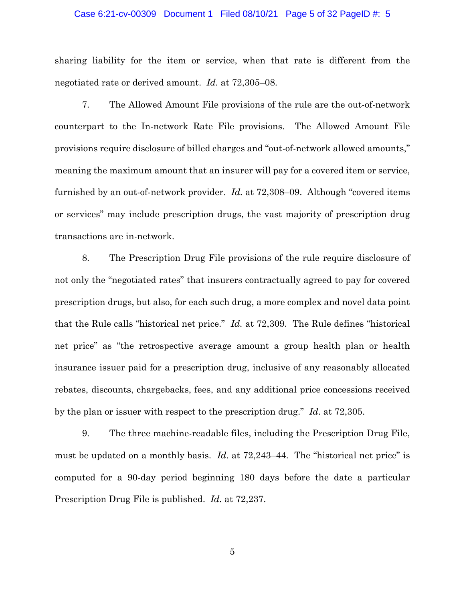### Case 6:21-cv-00309 Document 1 Filed 08/10/21 Page 5 of 32 PageID #: 5

sharing liability for the item or service, when that rate is different from the negotiated rate or derived amount. *Id.* at 72,305–08.

7. The Allowed Amount File provisions of the rule are the out-of-network counterpart to the In-network Rate File provisions. The Allowed Amount File provisions require disclosure of billed charges and "out-of-network allowed amounts," meaning the maximum amount that an insurer will pay for a covered item or service, furnished by an out-of-network provider. *Id.* at 72,308–09. Although "covered items or services" may include prescription drugs, the vast majority of prescription drug transactions are in-network.

8. The Prescription Drug File provisions of the rule require disclosure of not only the "negotiated rates" that insurers contractually agreed to pay for covered prescription drugs, but also, for each such drug, a more complex and novel data point that the Rule calls "historical net price." *Id.* at 72,309. The Rule defines "historical net price" as "the retrospective average amount a group health plan or health insurance issuer paid for a prescription drug, inclusive of any reasonably allocated rebates, discounts, chargebacks, fees, and any additional price concessions received by the plan or issuer with respect to the prescription drug." *Id*. at 72,305.

9. The three machine-readable files, including the Prescription Drug File, must be updated on a monthly basis. *Id*. at 72,243–44. The "historical net price" is computed for a 90-day period beginning 180 days before the date a particular Prescription Drug File is published. *Id.* at 72,237.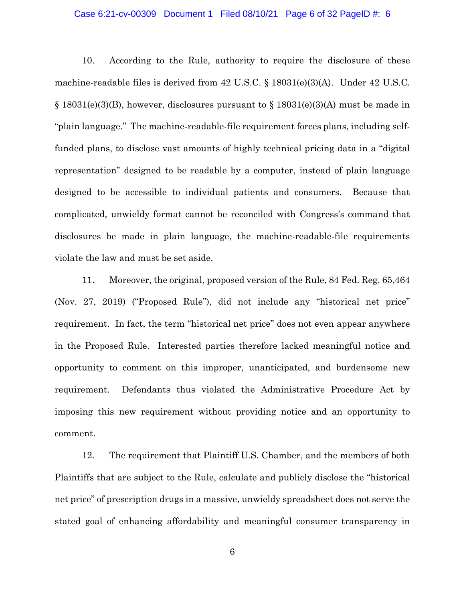## Case 6:21-cv-00309 Document 1 Filed 08/10/21 Page 6 of 32 PageID #: 6

10. According to the Rule, authority to require the disclosure of these machine-readable files is derived from 42 U.S.C. § 18031(e)(3)(A). Under 42 U.S.C.  $\S$  18031(e)(3)(B), however, disclosures pursuant to  $\S$  18031(e)(3)(A) must be made in "plain language." The machine-readable-file requirement forces plans, including selffunded plans, to disclose vast amounts of highly technical pricing data in a "digital representation" designed to be readable by a computer, instead of plain language designed to be accessible to individual patients and consumers. Because that complicated, unwieldy format cannot be reconciled with Congress's command that disclosures be made in plain language, the machine-readable-file requirements violate the law and must be set aside.

11. Moreover, the original, proposed version of the Rule, 84 Fed. Reg. 65,464 (Nov. 27, 2019) ("Proposed Rule"), did not include any "historical net price" requirement. In fact, the term "historical net price" does not even appear anywhere in the Proposed Rule. Interested parties therefore lacked meaningful notice and opportunity to comment on this improper, unanticipated, and burdensome new requirement. Defendants thus violated the Administrative Procedure Act by imposing this new requirement without providing notice and an opportunity to comment.

12. The requirement that Plaintiff U.S. Chamber, and the members of both Plaintiffs that are subject to the Rule, calculate and publicly disclose the "historical net price" of prescription drugs in a massive, unwieldy spreadsheet does not serve the stated goal of enhancing affordability and meaningful consumer transparency in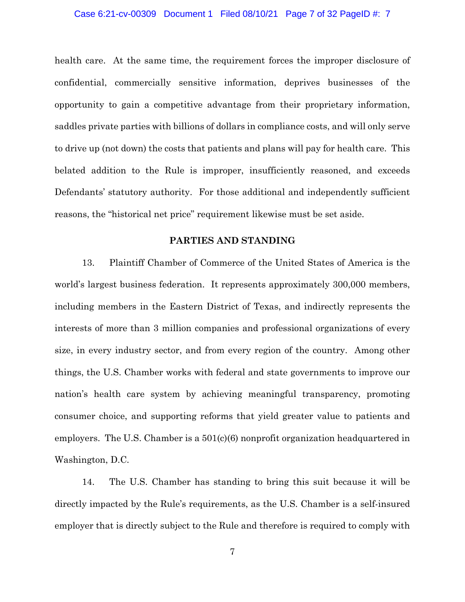## Case 6:21-cv-00309 Document 1 Filed 08/10/21 Page 7 of 32 PageID #: 7

health care. At the same time, the requirement forces the improper disclosure of confidential, commercially sensitive information, deprives businesses of the opportunity to gain a competitive advantage from their proprietary information, saddles private parties with billions of dollars in compliance costs, and will only serve to drive up (not down) the costs that patients and plans will pay for health care. This belated addition to the Rule is improper, insufficiently reasoned, and exceeds Defendants' statutory authority. For those additional and independently sufficient reasons, the "historical net price" requirement likewise must be set aside.

## **PARTIES AND STANDING**

13. Plaintiff Chamber of Commerce of the United States of America is the world's largest business federation. It represents approximately 300,000 members, including members in the Eastern District of Texas, and indirectly represents the interests of more than 3 million companies and professional organizations of every size, in every industry sector, and from every region of the country. Among other things, the U.S. Chamber works with federal and state governments to improve our nation's health care system by achieving meaningful transparency, promoting consumer choice, and supporting reforms that yield greater value to patients and employers. The U.S. Chamber is a 501(c)(6) nonprofit organization headquartered in Washington, D.C.

14. The U.S. Chamber has standing to bring this suit because it will be directly impacted by the Rule's requirements, as the U.S. Chamber is a self-insured employer that is directly subject to the Rule and therefore is required to comply with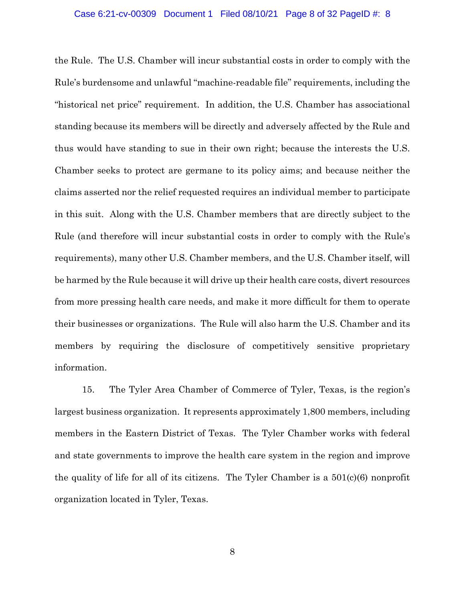the Rule. The U.S. Chamber will incur substantial costs in order to comply with the Rule's burdensome and unlawful "machine-readable file" requirements, including the "historical net price" requirement. In addition, the U.S. Chamber has associational standing because its members will be directly and adversely affected by the Rule and thus would have standing to sue in their own right; because the interests the U.S. Chamber seeks to protect are germane to its policy aims; and because neither the claims asserted nor the relief requested requires an individual member to participate in this suit. Along with the U.S. Chamber members that are directly subject to the Rule (and therefore will incur substantial costs in order to comply with the Rule's requirements), many other U.S. Chamber members, and the U.S. Chamber itself, will be harmed by the Rule because it will drive up their health care costs, divert resources from more pressing health care needs, and make it more difficult for them to operate their businesses or organizations. The Rule will also harm the U.S. Chamber and its members by requiring the disclosure of competitively sensitive proprietary information.

15. The Tyler Area Chamber of Commerce of Tyler, Texas, is the region's largest business organization. It represents approximately 1,800 members, including members in the Eastern District of Texas. The Tyler Chamber works with federal and state governments to improve the health care system in the region and improve the quality of life for all of its citizens. The Tyler Chamber is a  $501(c)(6)$  nonprofit organization located in Tyler, Texas.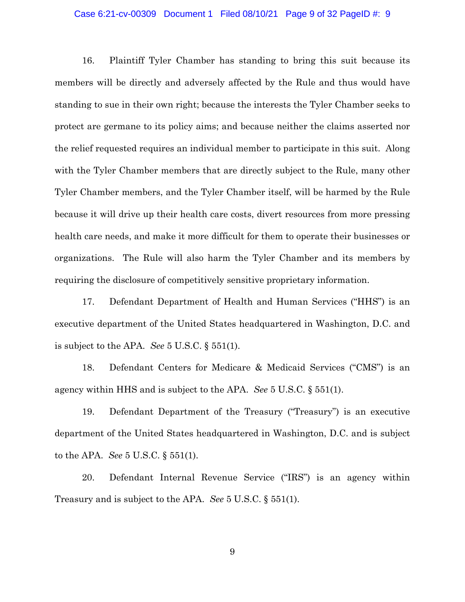### Case 6:21-cv-00309 Document 1 Filed 08/10/21 Page 9 of 32 PageID #: 9

16. Plaintiff Tyler Chamber has standing to bring this suit because its members will be directly and adversely affected by the Rule and thus would have standing to sue in their own right; because the interests the Tyler Chamber seeks to protect are germane to its policy aims; and because neither the claims asserted nor the relief requested requires an individual member to participate in this suit. Along with the Tyler Chamber members that are directly subject to the Rule, many other Tyler Chamber members, and the Tyler Chamber itself, will be harmed by the Rule because it will drive up their health care costs, divert resources from more pressing health care needs, and make it more difficult for them to operate their businesses or organizations. The Rule will also harm the Tyler Chamber and its members by requiring the disclosure of competitively sensitive proprietary information.

17. Defendant Department of Health and Human Services ("HHS") is an executive department of the United States headquartered in Washington, D.C. and is subject to the APA. *See* 5 U.S.C. § 551(1).

18. Defendant Centers for Medicare & Medicaid Services ("CMS") is an agency within HHS and is subject to the APA. *See* 5 U.S.C. § 551(1).

19. Defendant Department of the Treasury ("Treasury") is an executive department of the United States headquartered in Washington, D.C. and is subject to the APA. *See* 5 U.S.C. § 551(1).

20. Defendant Internal Revenue Service ("IRS") is an agency within Treasury and is subject to the APA. *See* 5 U.S.C. § 551(1).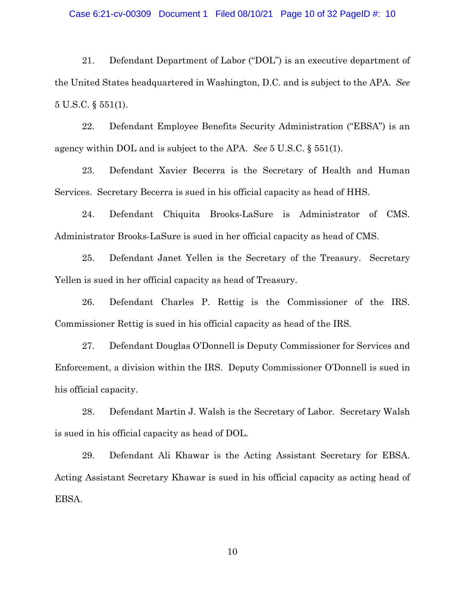### Case 6:21-cv-00309 Document 1 Filed 08/10/21 Page 10 of 32 PageID #: 10

21. Defendant Department of Labor ("DOL") is an executive department of the United States headquartered in Washington, D.C. and is subject to the APA. *See*  5 U.S.C. § 551(1).

22. Defendant Employee Benefits Security Administration ("EBSA") is an agency within DOL and is subject to the APA. *See* 5 U.S.C. § 551(1).

23. Defendant Xavier Becerra is the Secretary of Health and Human Services. Secretary Becerra is sued in his official capacity as head of HHS.

24. Defendant Chiquita Brooks-LaSure is Administrator of CMS. Administrator Brooks-LaSure is sued in her official capacity as head of CMS.

25. Defendant Janet Yellen is the Secretary of the Treasury. Secretary Yellen is sued in her official capacity as head of Treasury.

26. Defendant Charles P. Rettig is the Commissioner of the IRS. Commissioner Rettig is sued in his official capacity as head of the IRS.

27. Defendant Douglas O'Donnell is Deputy Commissioner for Services and Enforcement, a division within the IRS. Deputy Commissioner O'Donnell is sued in his official capacity.

28. Defendant Martin J. Walsh is the Secretary of Labor. Secretary Walsh is sued in his official capacity as head of DOL.

29. Defendant Ali Khawar is the Acting Assistant Secretary for EBSA. Acting Assistant Secretary Khawar is sued in his official capacity as acting head of EBSA.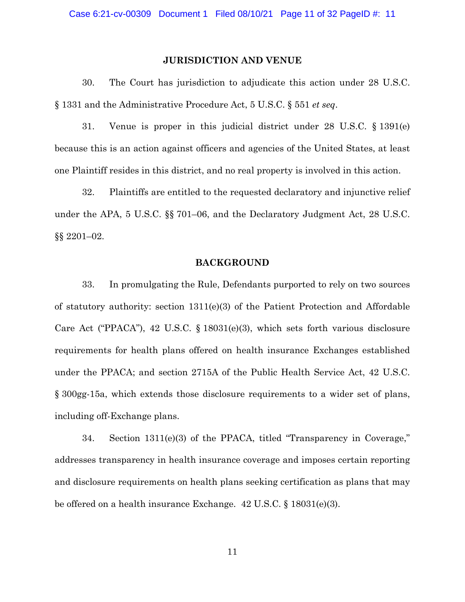## **JURISDICTION AND VENUE**

30. The Court has jurisdiction to adjudicate this action under 28 U.S.C. § 1331 and the Administrative Procedure Act, 5 U.S.C. § 551 *et seq*.

31. Venue is proper in this judicial district under 28 U.S.C. § 1391(e) because this is an action against officers and agencies of the United States, at least one Plaintiff resides in this district, and no real property is involved in this action.

32. Plaintiffs are entitled to the requested declaratory and injunctive relief under the APA, 5 U.S.C. §§ 701–06, and the Declaratory Judgment Act, 28 U.S.C. §§ 2201–02.

## **BACKGROUND**

33. In promulgating the Rule, Defendants purported to rely on two sources of statutory authority: section  $1311(e)(3)$  of the Patient Protection and Affordable Care Act ("PPACA"), 42 U.S.C. § 18031(e)(3), which sets forth various disclosure requirements for health plans offered on health insurance Exchanges established under the PPACA; and section 2715A of the Public Health Service Act, 42 U.S.C. § 300gg-15a, which extends those disclosure requirements to a wider set of plans, including off-Exchange plans.

34. Section 1311(e)(3) of the PPACA, titled "Transparency in Coverage," addresses transparency in health insurance coverage and imposes certain reporting and disclosure requirements on health plans seeking certification as plans that may be offered on a health insurance Exchange. 42 U.S.C. § 18031(e)(3).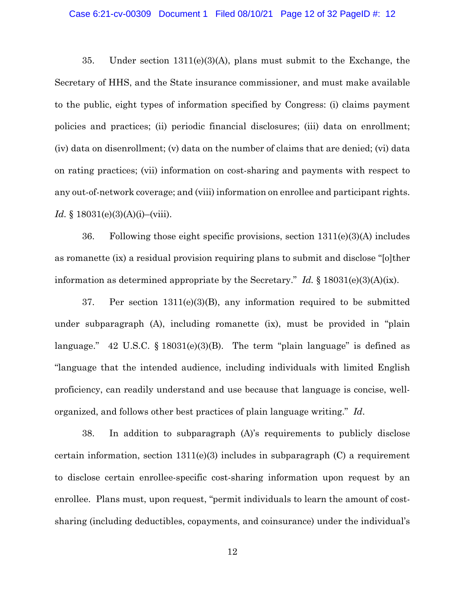### Case 6:21-cv-00309 Document 1 Filed 08/10/21 Page 12 of 32 PageID #: 12

35. Under section 1311(e)(3)(A), plans must submit to the Exchange, the Secretary of HHS, and the State insurance commissioner, and must make available to the public, eight types of information specified by Congress: (i) claims payment policies and practices; (ii) periodic financial disclosures; (iii) data on enrollment; (iv) data on disenrollment; (v) data on the number of claims that are denied; (vi) data on rating practices; (vii) information on cost-sharing and payments with respect to any out-of-network coverage; and (viii) information on enrollee and participant rights. *Id.* § 18031(e)(3)(A)(i)–(viii).

36. Following those eight specific provisions, section 1311(e)(3)(A) includes as romanette (ix) a residual provision requiring plans to submit and disclose "[o]ther information as determined appropriate by the Secretary." *Id.* § 18031(e)(3)(A)(ix).

37. Per section 1311(e)(3)(B), any information required to be submitted under subparagraph (A), including romanette (ix), must be provided in "plain language." 42 U.S.C.  $\S 18031(e)(3)(B)$ . The term "plain language" is defined as "language that the intended audience, including individuals with limited English proficiency, can readily understand and use because that language is concise, wellorganized, and follows other best practices of plain language writing." *Id*.

38. In addition to subparagraph (A)'s requirements to publicly disclose certain information, section  $1311(e)(3)$  includes in subparagraph  $(C)$  a requirement to disclose certain enrollee-specific cost-sharing information upon request by an enrollee. Plans must, upon request, "permit individuals to learn the amount of costsharing (including deductibles, copayments, and coinsurance) under the individual's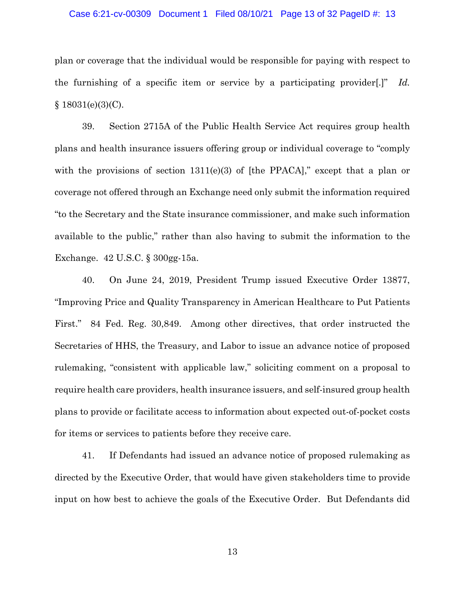### Case 6:21-cv-00309 Document 1 Filed 08/10/21 Page 13 of 32 PageID #: 13

plan or coverage that the individual would be responsible for paying with respect to the furnishing of a specific item or service by a participating provider[.]" *Id.*   $§ 18031(e)(3)(C).$ 

39. Section 2715A of the Public Health Service Act requires group health plans and health insurance issuers offering group or individual coverage to "comply with the provisions of section  $1311(e)(3)$  of [the PPACA]," except that a plan or coverage not offered through an Exchange need only submit the information required "to the Secretary and the State insurance commissioner, and make such information available to the public," rather than also having to submit the information to the Exchange. 42 U.S.C. § 300gg-15a.

40. On June 24, 2019, President Trump issued Executive Order 13877, "Improving Price and Quality Transparency in American Healthcare to Put Patients First." 84 Fed. Reg. 30,849. Among other directives, that order instructed the Secretaries of HHS, the Treasury, and Labor to issue an advance notice of proposed rulemaking, "consistent with applicable law," soliciting comment on a proposal to require health care providers, health insurance issuers, and self-insured group health plans to provide or facilitate access to information about expected out-of-pocket costs for items or services to patients before they receive care.

41. If Defendants had issued an advance notice of proposed rulemaking as directed by the Executive Order, that would have given stakeholders time to provide input on how best to achieve the goals of the Executive Order. But Defendants did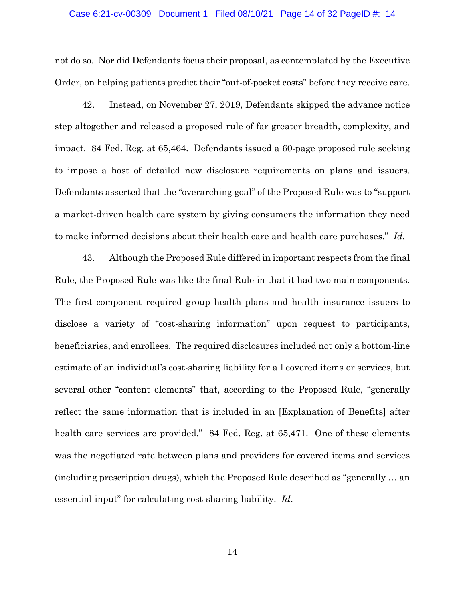### Case 6:21-cv-00309 Document 1 Filed 08/10/21 Page 14 of 32 PageID #: 14

not do so. Nor did Defendants focus their proposal, as contemplated by the Executive Order, on helping patients predict their "out-of-pocket costs" before they receive care.

42. Instead, on November 27, 2019, Defendants skipped the advance notice step altogether and released a proposed rule of far greater breadth, complexity, and impact. 84 Fed. Reg. at 65,464. Defendants issued a 60-page proposed rule seeking to impose a host of detailed new disclosure requirements on plans and issuers. Defendants asserted that the "overarching goal" of the Proposed Rule was to "support a market-driven health care system by giving consumers the information they need to make informed decisions about their health care and health care purchases." *Id.*

43. Although the Proposed Rule differed in important respects from the final Rule, the Proposed Rule was like the final Rule in that it had two main components. The first component required group health plans and health insurance issuers to disclose a variety of "cost-sharing information" upon request to participants, beneficiaries, and enrollees. The required disclosures included not only a bottom-line estimate of an individual's cost-sharing liability for all covered items or services, but several other "content elements" that, according to the Proposed Rule, "generally reflect the same information that is included in an [Explanation of Benefits] after health care services are provided." 84 Fed. Reg. at 65,471. One of these elements was the negotiated rate between plans and providers for covered items and services (including prescription drugs), which the Proposed Rule described as "generally … an essential input" for calculating cost-sharing liability. *Id*.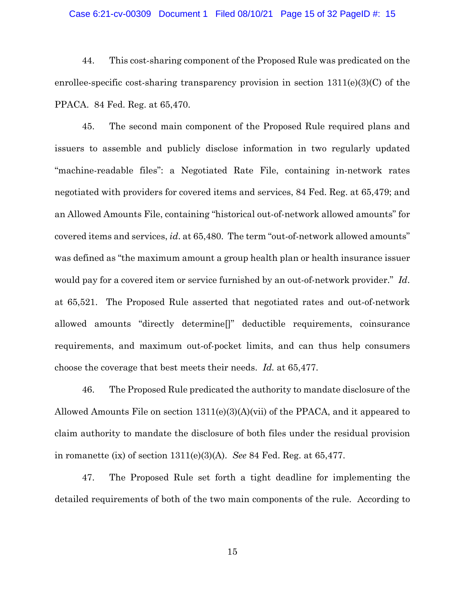### Case 6:21-cv-00309 Document 1 Filed 08/10/21 Page 15 of 32 PageID #: 15

44. This cost-sharing component of the Proposed Rule was predicated on the enrollee-specific cost-sharing transparency provision in section  $1311(e)(3)(C)$  of the PPACA. 84 Fed. Reg. at 65,470.

45. The second main component of the Proposed Rule required plans and issuers to assemble and publicly disclose information in two regularly updated "machine-readable files": a Negotiated Rate File, containing in-network rates negotiated with providers for covered items and services, 84 Fed. Reg. at 65,479; and an Allowed Amounts File, containing "historical out-of-network allowed amounts" for covered items and services, *id*. at 65,480. The term "out-of-network allowed amounts" was defined as "the maximum amount a group health plan or health insurance issuer would pay for a covered item or service furnished by an out-of-network provider." *Id*. at 65,521. The Proposed Rule asserted that negotiated rates and out-of-network allowed amounts "directly determine[]" deductible requirements, coinsurance requirements, and maximum out-of-pocket limits, and can thus help consumers choose the coverage that best meets their needs. *Id.* at 65,477.

46. The Proposed Rule predicated the authority to mandate disclosure of the Allowed Amounts File on section  $1311(e)(3)(A)(vi)$  of the PPACA, and it appeared to claim authority to mandate the disclosure of both files under the residual provision in romanette (ix) of section 1311(e)(3)(A). *See* 84 Fed. Reg. at 65,477.

47. The Proposed Rule set forth a tight deadline for implementing the detailed requirements of both of the two main components of the rule. According to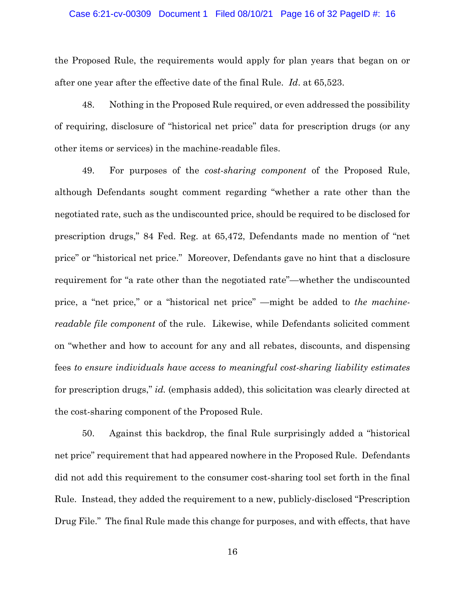### Case 6:21-cv-00309 Document 1 Filed 08/10/21 Page 16 of 32 PageID #: 16

the Proposed Rule, the requirements would apply for plan years that began on or after one year after the effective date of the final Rule. *Id*. at 65,523.

48. Nothing in the Proposed Rule required, or even addressed the possibility of requiring, disclosure of "historical net price" data for prescription drugs (or any other items or services) in the machine-readable files.

49. For purposes of the *cost-sharing component* of the Proposed Rule, although Defendants sought comment regarding "whether a rate other than the negotiated rate, such as the undiscounted price, should be required to be disclosed for prescription drugs," 84 Fed. Reg. at 65,472, Defendants made no mention of "net price" or "historical net price." Moreover, Defendants gave no hint that a disclosure requirement for "a rate other than the negotiated rate"—whether the undiscounted price, a "net price," or a "historical net price" —might be added to *the machinereadable file component* of the rule. Likewise, while Defendants solicited comment on "whether and how to account for any and all rebates, discounts, and dispensing fees *to ensure individuals have access to meaningful cost-sharing liability estimates* for prescription drugs," *id.* (emphasis added), this solicitation was clearly directed at the cost-sharing component of the Proposed Rule.

50. Against this backdrop, the final Rule surprisingly added a "historical net price" requirement that had appeared nowhere in the Proposed Rule. Defendants did not add this requirement to the consumer cost-sharing tool set forth in the final Rule. Instead, they added the requirement to a new, publicly-disclosed "Prescription Drug File." The final Rule made this change for purposes, and with effects, that have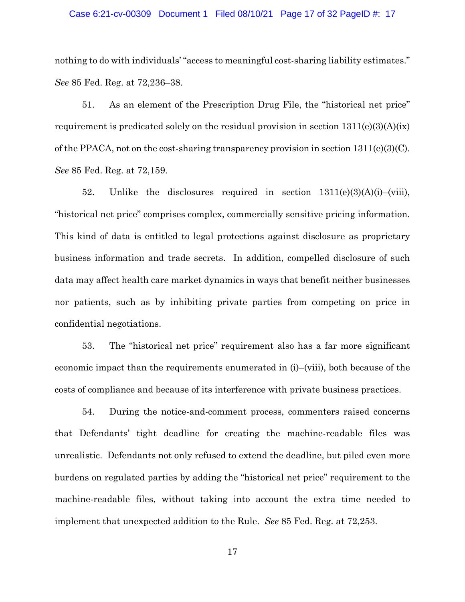## Case 6:21-cv-00309 Document 1 Filed 08/10/21 Page 17 of 32 PageID #: 17

nothing to do with individuals' "access to meaningful cost-sharing liability estimates." *See* 85 Fed. Reg. at 72,236–38.

51. As an element of the Prescription Drug File, the "historical net price" requirement is predicated solely on the residual provision in section  $1311(e)(3)(A)(ix)$ of the PPACA, not on the cost-sharing transparency provision in section 1311(e)(3)(C). *See* 85 Fed. Reg. at 72,159.

52. Unlike the disclosures required in section  $1311(e)(3)(A)(i)$ –(viii), "historical net price" comprises complex, commercially sensitive pricing information. This kind of data is entitled to legal protections against disclosure as proprietary business information and trade secrets. In addition, compelled disclosure of such data may affect health care market dynamics in ways that benefit neither businesses nor patients, such as by inhibiting private parties from competing on price in confidential negotiations.

53. The "historical net price" requirement also has a far more significant economic impact than the requirements enumerated in (i)–(viii), both because of the costs of compliance and because of its interference with private business practices.

54. During the notice-and-comment process, commenters raised concerns that Defendants' tight deadline for creating the machine-readable files was unrealistic. Defendants not only refused to extend the deadline, but piled even more burdens on regulated parties by adding the "historical net price" requirement to the machine-readable files, without taking into account the extra time needed to implement that unexpected addition to the Rule. *See* 85 Fed. Reg. at 72,253.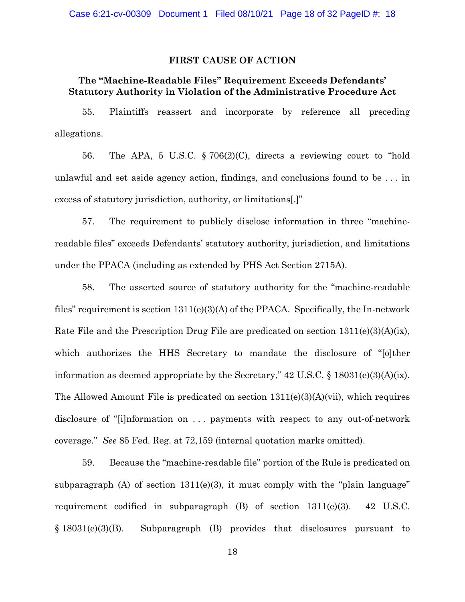## **FIRST CAUSE OF ACTION**

# **The "Machine-Readable Files" Requirement Exceeds Defendants' Statutory Authority in Violation of the Administrative Procedure Act**

55. Plaintiffs reassert and incorporate by reference all preceding allegations.

56. The APA, 5 U.S.C. § 706(2)(C), directs a reviewing court to "hold unlawful and set aside agency action, findings, and conclusions found to be . . . in excess of statutory jurisdiction, authority, or limitations[.]"

57. The requirement to publicly disclose information in three "machinereadable files" exceeds Defendants' statutory authority, jurisdiction, and limitations under the PPACA (including as extended by PHS Act Section 2715A).

58. The asserted source of statutory authority for the "machine-readable files" requirement is section 1311(e)(3)(A) of the PPACA. Specifically, the In-network Rate File and the Prescription Drug File are predicated on section 1311(e)(3)(A)(ix), which authorizes the HHS Secretary to mandate the disclosure of "[o]ther information as deemed appropriate by the Secretary," 42 U.S.C. § 18031(e)(3)(A)(ix). The Allowed Amount File is predicated on section  $1311(e)(3)(A)(vi)$ , which requires disclosure of "[i]nformation on . . . payments with respect to any out-of-network coverage." *See* 85 Fed. Reg. at 72,159 (internal quotation marks omitted).

59. Because the "machine-readable file" portion of the Rule is predicated on subparagraph (A) of section  $1311(e)(3)$ , it must comply with the "plain language" requirement codified in subparagraph (B) of section 1311(e)(3). 42 U.S.C. § 18031(e)(3)(B). Subparagraph (B) provides that disclosures pursuant to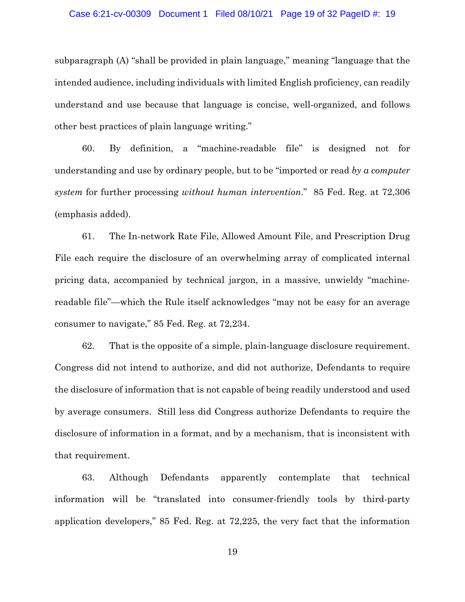## Case 6:21-cv-00309 Document 1 Filed 08/10/21 Page 19 of 32 PageID #: 19

subparagraph (A) "shall be provided in plain language," meaning "language that the intended audience, including individuals with limited English proficiency, can readily understand and use because that language is concise, well-organized, and follows other best practices of plain language writing."

60. By definition, a "machine-readable file" is designed not for understanding and use by ordinary people, but to be "imported or read *by a computer system* for further processing *without human intervention*." 85 Fed. Reg. at 72,306 (emphasis added).

61. The In-network Rate File, Allowed Amount File, and Prescription Drug File each require the disclosure of an overwhelming array of complicated internal pricing data, accompanied by technical jargon, in a massive, unwieldy "machinereadable file"—which the Rule itself acknowledges "may not be easy for an average consumer to navigate," 85 Fed. Reg. at 72,234.

62. That is the opposite of a simple, plain-language disclosure requirement. Congress did not intend to authorize, and did not authorize, Defendants to require the disclosure of information that is not capable of being readily understood and used by average consumers. Still less did Congress authorize Defendants to require the disclosure of information in a format, and by a mechanism, that is inconsistent with that requirement.

63. Although Defendants apparently contemplate that technical information will be "translated into consumer-friendly tools by third-party application developers," 85 Fed. Reg. at 72,225, the very fact that the information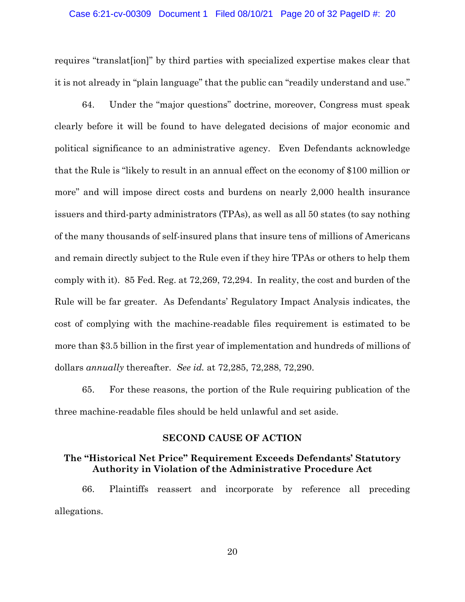### Case 6:21-cv-00309 Document 1 Filed 08/10/21 Page 20 of 32 PageID #: 20

requires "translat[ion]" by third parties with specialized expertise makes clear that it is not already in "plain language" that the public can "readily understand and use."

64. Under the "major questions" doctrine, moreover, Congress must speak clearly before it will be found to have delegated decisions of major economic and political significance to an administrative agency. Even Defendants acknowledge that the Rule is "likely to result in an annual effect on the economy of \$100 million or more" and will impose direct costs and burdens on nearly 2,000 health insurance issuers and third-party administrators (TPAs), as well as all 50 states (to say nothing of the many thousands of self-insured plans that insure tens of millions of Americans and remain directly subject to the Rule even if they hire TPAs or others to help them comply with it). 85 Fed. Reg. at 72,269, 72,294. In reality, the cost and burden of the Rule will be far greater. As Defendants' Regulatory Impact Analysis indicates, the cost of complying with the machine-readable files requirement is estimated to be more than \$3.5 billion in the first year of implementation and hundreds of millions of dollars *annually* thereafter. *See id.* at 72,285, 72,288, 72,290.

65. For these reasons, the portion of the Rule requiring publication of the three machine-readable files should be held unlawful and set aside.

## **SECOND CAUSE OF ACTION**

## **The "Historical Net Price" Requirement Exceeds Defendants' Statutory Authority in Violation of the Administrative Procedure Act**

66. Plaintiffs reassert and incorporate by reference all preceding allegations.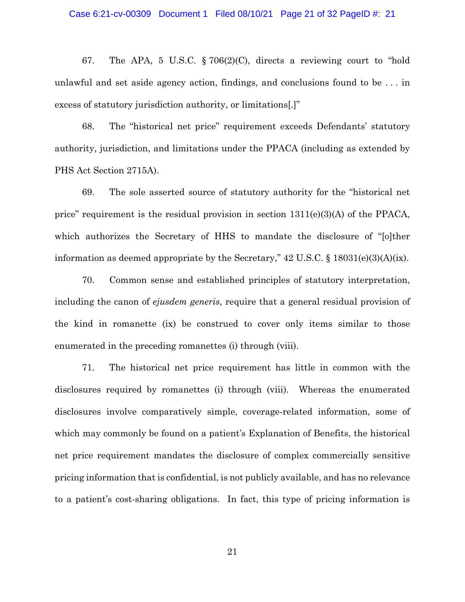67. The APA, 5 U.S.C. § 706(2)(C), directs a reviewing court to "hold unlawful and set aside agency action, findings, and conclusions found to be . . . in excess of statutory jurisdiction authority, or limitations[.]"

68. The "historical net price" requirement exceeds Defendants' statutory authority, jurisdiction, and limitations under the PPACA (including as extended by PHS Act Section 2715A).

69. The sole asserted source of statutory authority for the "historical net price" requirement is the residual provision in section  $1311(e)(3)(A)$  of the PPACA, which authorizes the Secretary of HHS to mandate the disclosure of "[o]ther information as deemed appropriate by the Secretary," 42 U.S.C. § 18031(e)(3)(A)(ix).

70. Common sense and established principles of statutory interpretation, including the canon of *ejusdem generis*, require that a general residual provision of the kind in romanette (ix) be construed to cover only items similar to those enumerated in the preceding romanettes (i) through (viii).

71. The historical net price requirement has little in common with the disclosures required by romanettes (i) through (viii). Whereas the enumerated disclosures involve comparatively simple, coverage-related information, some of which may commonly be found on a patient's Explanation of Benefits, the historical net price requirement mandates the disclosure of complex commercially sensitive pricing information that is confidential, is not publicly available, and has no relevance to a patient's cost-sharing obligations. In fact, this type of pricing information is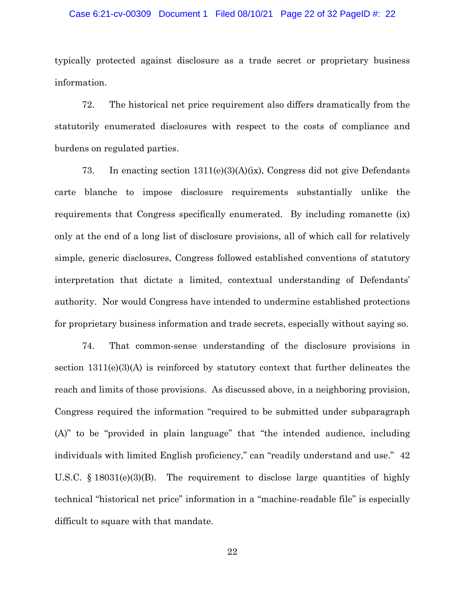### Case 6:21-cv-00309 Document 1 Filed 08/10/21 Page 22 of 32 PageID #: 22

typically protected against disclosure as a trade secret or proprietary business information.

72. The historical net price requirement also differs dramatically from the statutorily enumerated disclosures with respect to the costs of compliance and burdens on regulated parties.

73. In enacting section 1311(e)(3)(A)(ix), Congress did not give Defendants carte blanche to impose disclosure requirements substantially unlike the requirements that Congress specifically enumerated. By including romanette (ix) only at the end of a long list of disclosure provisions, all of which call for relatively simple, generic disclosures, Congress followed established conventions of statutory interpretation that dictate a limited, contextual understanding of Defendants' authority. Nor would Congress have intended to undermine established protections for proprietary business information and trade secrets, especially without saying so.

74. That common-sense understanding of the disclosure provisions in section  $1311(e)(3)(A)$  is reinforced by statutory context that further delineates the reach and limits of those provisions. As discussed above, in a neighboring provision, Congress required the information "required to be submitted under subparagraph (A)" to be "provided in plain language" that "the intended audience, including individuals with limited English proficiency," can "readily understand and use." 42 U.S.C.  $\S$  18031(e)(3)(B). The requirement to disclose large quantities of highly technical "historical net price" information in a "machine-readable file" is especially difficult to square with that mandate.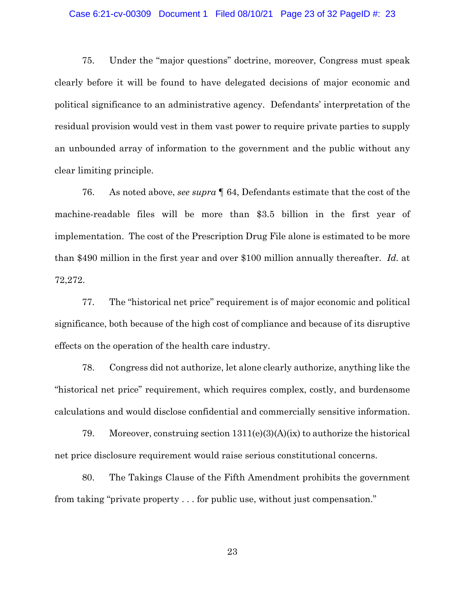## Case 6:21-cv-00309 Document 1 Filed 08/10/21 Page 23 of 32 PageID #: 23

75. Under the "major questions" doctrine, moreover, Congress must speak clearly before it will be found to have delegated decisions of major economic and political significance to an administrative agency. Defendants' interpretation of the residual provision would vest in them vast power to require private parties to supply an unbounded array of information to the government and the public without any clear limiting principle.

76. As noted above, *see supra* ¶ 64, Defendants estimate that the cost of the machine-readable files will be more than \$3.5 billion in the first year of implementation. The cost of the Prescription Drug File alone is estimated to be more than \$490 million in the first year and over \$100 million annually thereafter. *Id.* at 72,272.

77. The "historical net price" requirement is of major economic and political significance, both because of the high cost of compliance and because of its disruptive effects on the operation of the health care industry.

78. Congress did not authorize, let alone clearly authorize, anything like the "historical net price" requirement, which requires complex, costly, and burdensome calculations and would disclose confidential and commercially sensitive information.

79. Moreover, construing section 1311(e)(3)(A)(ix) to authorize the historical net price disclosure requirement would raise serious constitutional concerns.

80. The Takings Clause of the Fifth Amendment prohibits the government from taking "private property . . . for public use, without just compensation."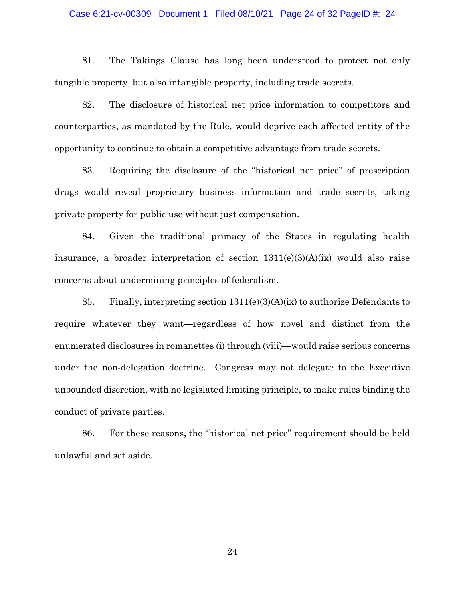## Case 6:21-cv-00309 Document 1 Filed 08/10/21 Page 24 of 32 PageID #: 24

81. The Takings Clause has long been understood to protect not only tangible property, but also intangible property, including trade secrets.

82. The disclosure of historical net price information to competitors and counterparties, as mandated by the Rule, would deprive each affected entity of the opportunity to continue to obtain a competitive advantage from trade secrets.

83. Requiring the disclosure of the "historical net price" of prescription drugs would reveal proprietary business information and trade secrets, taking private property for public use without just compensation.

84. Given the traditional primacy of the States in regulating health insurance, a broader interpretation of section 1311(e)(3)(A)(ix) would also raise concerns about undermining principles of federalism.

85. Finally, interpreting section 1311(e)(3)(A)(ix) to authorize Defendants to require whatever they want—regardless of how novel and distinct from the enumerated disclosures in romanettes (i) through (viii)—would raise serious concerns under the non-delegation doctrine. Congress may not delegate to the Executive unbounded discretion, with no legislated limiting principle, to make rules binding the conduct of private parties.

86. For these reasons, the "historical net price" requirement should be held unlawful and set aside.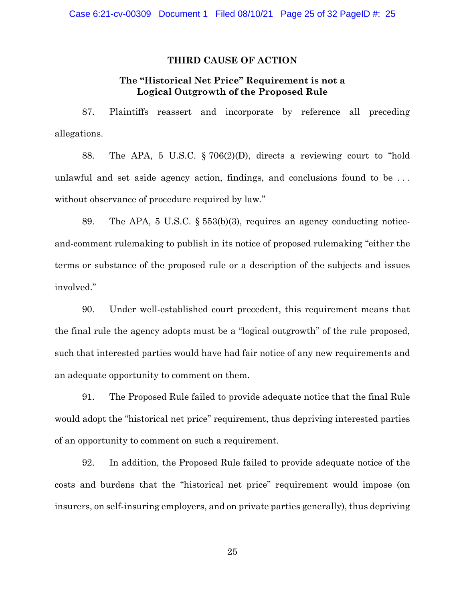## **THIRD CAUSE OF ACTION**

## **The "Historical Net Price" Requirement is not a Logical Outgrowth of the Proposed Rule**

87. Plaintiffs reassert and incorporate by reference all preceding allegations.

88. The APA, 5 U.S.C. § 706(2)(D), directs a reviewing court to "hold unlawful and set aside agency action, findings, and conclusions found to be . . . without observance of procedure required by law."

89. The APA, 5 U.S.C. § 553(b)(3), requires an agency conducting noticeand-comment rulemaking to publish in its notice of proposed rulemaking "either the terms or substance of the proposed rule or a description of the subjects and issues involved."

90. Under well-established court precedent, this requirement means that the final rule the agency adopts must be a "logical outgrowth" of the rule proposed, such that interested parties would have had fair notice of any new requirements and an adequate opportunity to comment on them.

91. The Proposed Rule failed to provide adequate notice that the final Rule would adopt the "historical net price" requirement, thus depriving interested parties of an opportunity to comment on such a requirement.

92. In addition, the Proposed Rule failed to provide adequate notice of the costs and burdens that the "historical net price" requirement would impose (on insurers, on self-insuring employers, and on private parties generally), thus depriving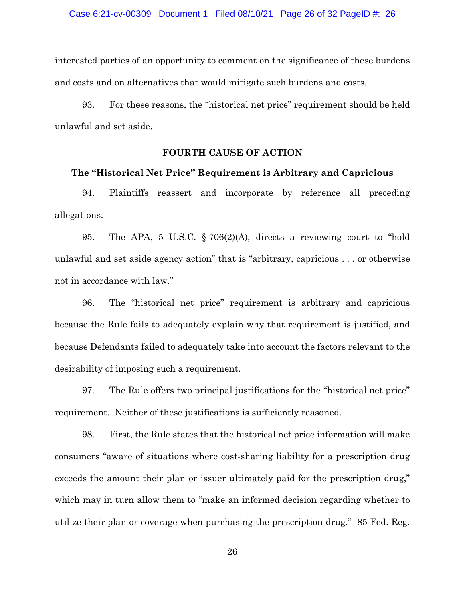interested parties of an opportunity to comment on the significance of these burdens and costs and on alternatives that would mitigate such burdens and costs.

93. For these reasons, the "historical net price" requirement should be held unlawful and set aside.

## **FOURTH CAUSE OF ACTION**

## **The "Historical Net Price" Requirement is Arbitrary and Capricious**

94. Plaintiffs reassert and incorporate by reference all preceding allegations.

95. The APA, 5 U.S.C. § 706(2)(A), directs a reviewing court to "hold unlawful and set aside agency action" that is "arbitrary, capricious . . . or otherwise not in accordance with law."

96. The "historical net price" requirement is arbitrary and capricious because the Rule fails to adequately explain why that requirement is justified, and because Defendants failed to adequately take into account the factors relevant to the desirability of imposing such a requirement.

97. The Rule offers two principal justifications for the "historical net price" requirement. Neither of these justifications is sufficiently reasoned.

98. First, the Rule states that the historical net price information will make consumers "aware of situations where cost-sharing liability for a prescription drug exceeds the amount their plan or issuer ultimately paid for the prescription drug," which may in turn allow them to "make an informed decision regarding whether to utilize their plan or coverage when purchasing the prescription drug." 85 Fed. Reg.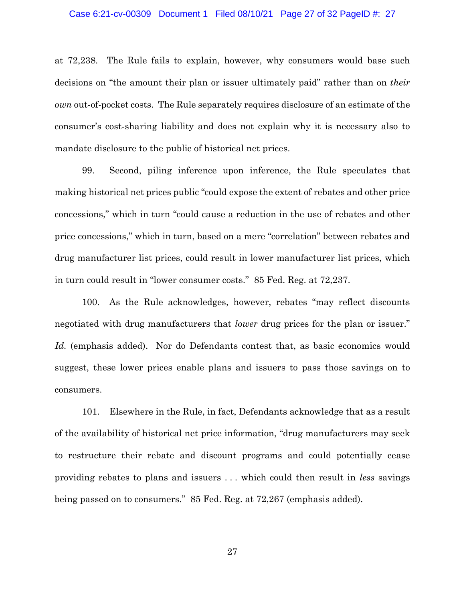### Case 6:21-cv-00309 Document 1 Filed 08/10/21 Page 27 of 32 PageID #: 27

at 72,238. The Rule fails to explain, however, why consumers would base such decisions on "the amount their plan or issuer ultimately paid" rather than on *their own* out-of-pocket costs. The Rule separately requires disclosure of an estimate of the consumer's cost-sharing liability and does not explain why it is necessary also to mandate disclosure to the public of historical net prices.

99. Second, piling inference upon inference, the Rule speculates that making historical net prices public "could expose the extent of rebates and other price concessions," which in turn "could cause a reduction in the use of rebates and other price concessions," which in turn, based on a mere "correlation" between rebates and drug manufacturer list prices, could result in lower manufacturer list prices, which in turn could result in "lower consumer costs." 85 Fed. Reg. at 72,237.

100. As the Rule acknowledges, however, rebates "may reflect discounts negotiated with drug manufacturers that *lower* drug prices for the plan or issuer." Id. (emphasis added). Nor do Defendants contest that, as basic economics would suggest, these lower prices enable plans and issuers to pass those savings on to consumers.

101. Elsewhere in the Rule, in fact, Defendants acknowledge that as a result of the availability of historical net price information, "drug manufacturers may seek to restructure their rebate and discount programs and could potentially cease providing rebates to plans and issuers . . . which could then result in *less* savings being passed on to consumers." 85 Fed. Reg. at 72,267 (emphasis added).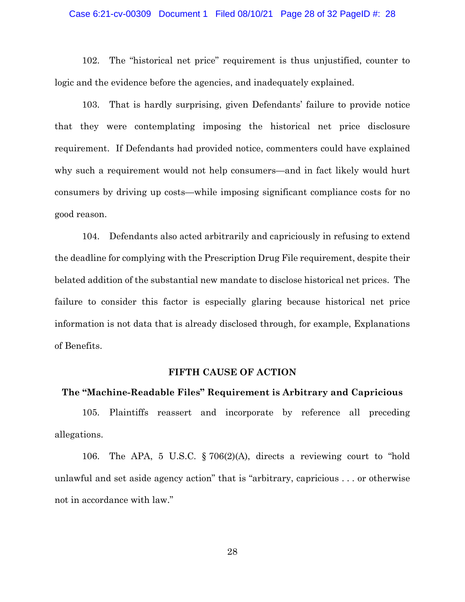### Case 6:21-cv-00309 Document 1 Filed 08/10/21 Page 28 of 32 PageID #: 28

102. The "historical net price" requirement is thus unjustified, counter to logic and the evidence before the agencies, and inadequately explained.

103. That is hardly surprising, given Defendants' failure to provide notice that they were contemplating imposing the historical net price disclosure requirement. If Defendants had provided notice, commenters could have explained why such a requirement would not help consumers—and in fact likely would hurt consumers by driving up costs—while imposing significant compliance costs for no good reason.

104. Defendants also acted arbitrarily and capriciously in refusing to extend the deadline for complying with the Prescription Drug File requirement, despite their belated addition of the substantial new mandate to disclose historical net prices. The failure to consider this factor is especially glaring because historical net price information is not data that is already disclosed through, for example, Explanations of Benefits.

## **FIFTH CAUSE OF ACTION**

## **The "Machine-Readable Files" Requirement is Arbitrary and Capricious**

105. Plaintiffs reassert and incorporate by reference all preceding allegations.

106. The APA, 5 U.S.C. § 706(2)(A), directs a reviewing court to "hold unlawful and set aside agency action" that is "arbitrary, capricious . . . or otherwise not in accordance with law."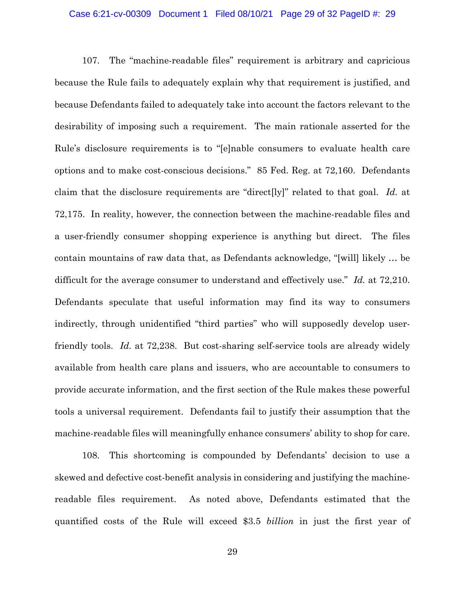### Case 6:21-cv-00309 Document 1 Filed 08/10/21 Page 29 of 32 PageID #: 29

107. The "machine-readable files" requirement is arbitrary and capricious because the Rule fails to adequately explain why that requirement is justified, and because Defendants failed to adequately take into account the factors relevant to the desirability of imposing such a requirement. The main rationale asserted for the Rule's disclosure requirements is to "[e]nable consumers to evaluate health care options and to make cost-conscious decisions." 85 Fed. Reg. at 72,160. Defendants claim that the disclosure requirements are "direct[ly]" related to that goal. *Id.* at 72,175. In reality, however, the connection between the machine-readable files and a user-friendly consumer shopping experience is anything but direct. The files contain mountains of raw data that, as Defendants acknowledge, "[will] likely … be difficult for the average consumer to understand and effectively use." *Id.* at 72,210. Defendants speculate that useful information may find its way to consumers indirectly, through unidentified "third parties" who will supposedly develop userfriendly tools. *Id.* at 72,238. But cost-sharing self-service tools are already widely available from health care plans and issuers, who are accountable to consumers to provide accurate information, and the first section of the Rule makes these powerful tools a universal requirement. Defendants fail to justify their assumption that the machine-readable files will meaningfully enhance consumers' ability to shop for care.

108. This shortcoming is compounded by Defendants' decision to use a skewed and defective cost-benefit analysis in considering and justifying the machinereadable files requirement. As noted above, Defendants estimated that the quantified costs of the Rule will exceed \$3.5 *billion* in just the first year of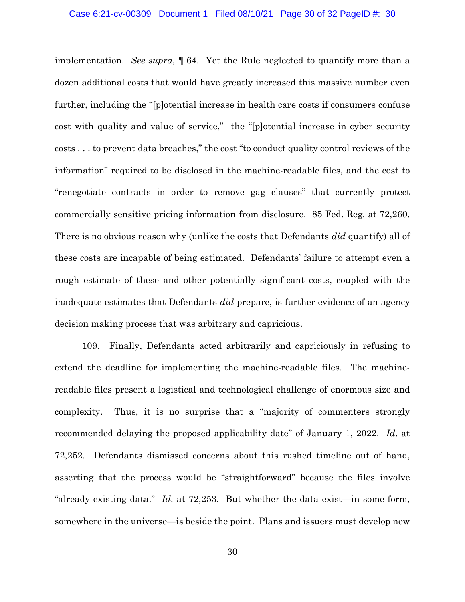### Case 6:21-cv-00309 Document 1 Filed 08/10/21 Page 30 of 32 PageID #: 30

implementation. *See supra*, ¶ 64.Yet the Rule neglected to quantify more than a dozen additional costs that would have greatly increased this massive number even further, including the "[p]otential increase in health care costs if consumers confuse cost with quality and value of service," the "[p]otential increase in cyber security costs . . . to prevent data breaches," the cost "to conduct quality control reviews of the information" required to be disclosed in the machine-readable files, and the cost to "renegotiate contracts in order to remove gag clauses" that currently protect commercially sensitive pricing information from disclosure. 85 Fed. Reg. at 72,260. There is no obvious reason why (unlike the costs that Defendants *did* quantify) all of these costs are incapable of being estimated. Defendants' failure to attempt even a rough estimate of these and other potentially significant costs, coupled with the inadequate estimates that Defendants *did* prepare, is further evidence of an agency decision making process that was arbitrary and capricious.

109. Finally, Defendants acted arbitrarily and capriciously in refusing to extend the deadline for implementing the machine-readable files. The machinereadable files present a logistical and technological challenge of enormous size and complexity. Thus, it is no surprise that a "majority of commenters strongly recommended delaying the proposed applicability date" of January 1, 2022. *Id*. at 72,252. Defendants dismissed concerns about this rushed timeline out of hand, asserting that the process would be "straightforward" because the files involve "already existing data." *Id.* at 72,253. But whether the data exist—in some form, somewhere in the universe—is beside the point. Plans and issuers must develop new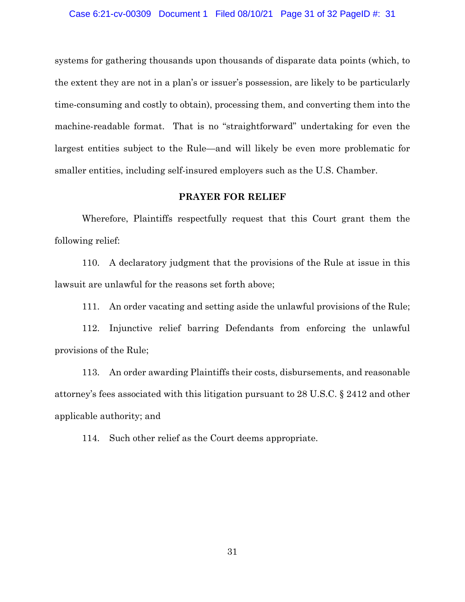systems for gathering thousands upon thousands of disparate data points (which, to the extent they are not in a plan's or issuer's possession, are likely to be particularly time-consuming and costly to obtain), processing them, and converting them into the machine-readable format. That is no "straightforward" undertaking for even the largest entities subject to the Rule—and will likely be even more problematic for smaller entities, including self-insured employers such as the U.S. Chamber.

## **PRAYER FOR RELIEF**

Wherefore, Plaintiffs respectfully request that this Court grant them the following relief:

110. A declaratory judgment that the provisions of the Rule at issue in this lawsuit are unlawful for the reasons set forth above;

111. An order vacating and setting aside the unlawful provisions of the Rule;

112. Injunctive relief barring Defendants from enforcing the unlawful provisions of the Rule;

113. An order awarding Plaintiffs their costs, disbursements, and reasonable attorney's fees associated with this litigation pursuant to 28 U.S.C. § 2412 and other applicable authority; and

114. Such other relief as the Court deems appropriate.